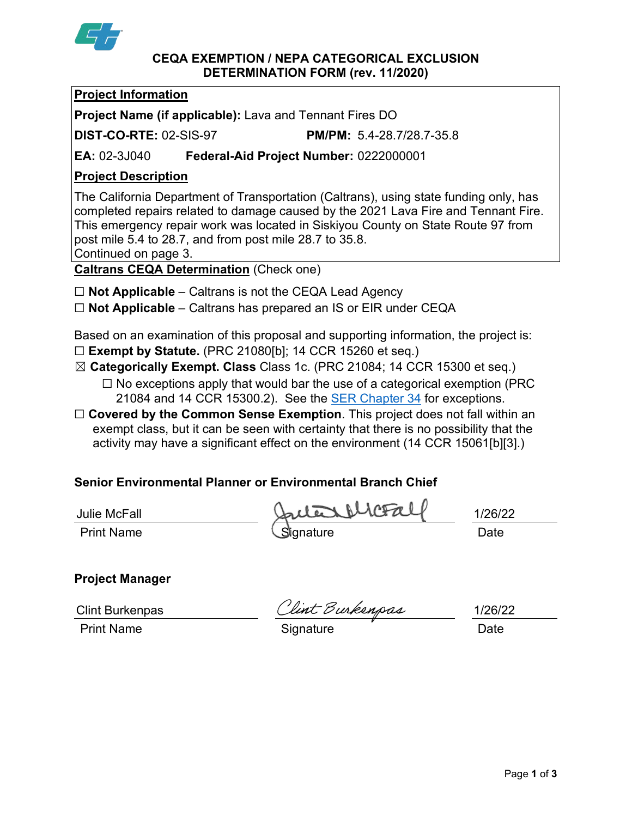

#### **CEQA EXEMPTION / NEPA CATEGORICAL EXCLUSION DETERMINATION FORM (rev. 11/2020)**

## **Project Information**

**Project Name (if applicable):** Lava and Tennant Fires DO

**DIST-CO-RTE:** 02-SIS-97 **PM/PM:** 5.4-28.7/28.7-35.8

**EA:** 02-3J040 **Federal-Aid Project Number:** 0222000001

## **Project Description**

The California Department of Transportation (Caltrans), using state funding only, has completed repairs related to damage caused by the 2021 Lava Fire and Tennant Fire. This emergency repair work was located in Siskiyou County on State Route 97 from post mile 5.4 to 28.7, and from post mile 28.7 to 35.8. Continued on page 3.

**Caltrans CEQA Determination** (Check one)

- ☐ **Not Applicable** Caltrans is not the CEQA Lead Agency
- ☐ **Not Applicable** Caltrans has prepared an IS or EIR under CEQA

Based on an examination of this proposal and supporting information, the project is: ☐ **Exempt by Statute.** (PRC 21080[b]; 14 CCR 15260 et seq.)

- ☒ **Categorically Exempt. Class** Class 1c. (PRC 21084; 14 CCR 15300 et seq.)  $\Box$  No exceptions apply that would bar the use of a categorical exemption (PRC) 21084 and 14 CCR 15300.2). See the [SER Chapter 34](https://dot.ca.gov/programs/environmental-analysis/standard-environmental-reference-ser/volume-1-guidance-for-compliance/ch-34-exemptions-to-ceqa#except) for exceptions.
- □ **Covered by the Common Sense Exemption**. This project does not fall within an exempt class, but it can be seen with certainty that there is no possibility that the activity may have a significant effect on the environment (14 CCR 15061[b][3].)

# **Senior Environmental Planner or Environmental Branch Chief**

Print Name **Signature** Constant Construction Construction Construction Constant Date Julie McFall 1/26/22

# **Project Manager**

Print Name **Signature Constant Construction** Constant Construction Construction Constant Constant Construction Constant Constant Construction Constant Constant Constant Construction Constant Constant Constant Constant Co

Clint Burkenpas Clint Burkenpas 1/26/22

Page **1** of **3**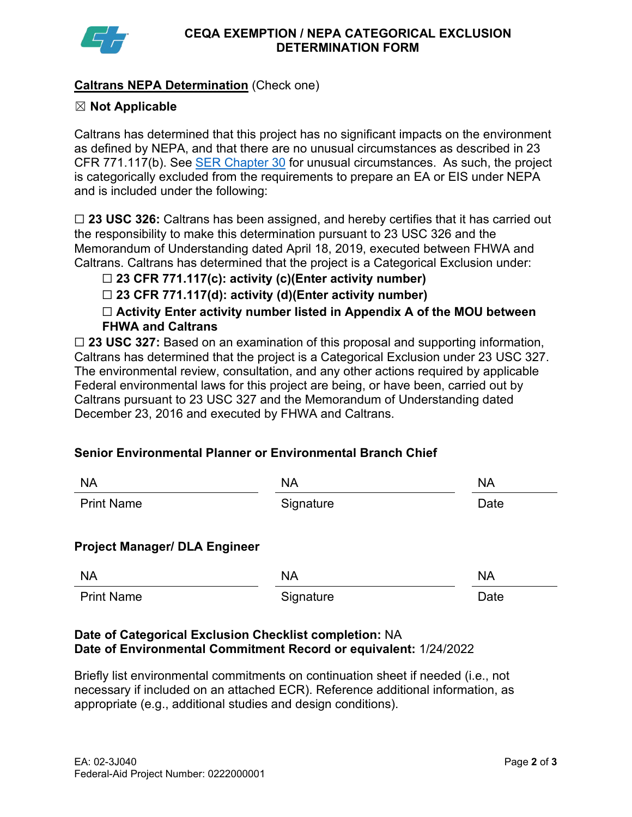

## **Caltrans NEPA Determination** (Check one)

## ☒ **Not Applicable**

Caltrans has determined that this project has no significant impacts on the environment as defined by NEPA, and that there are no unusual circumstances as described in 23 CFR 771.117(b). See [SER Chapter 30](https://dot.ca.gov/programs/environmental-analysis/standard-environmental-reference-ser/volume-1-guidance-for-compliance/ch-30-categorical-exclusions#exception) for unusual circumstances. As such, the project is categorically excluded from the requirements to prepare an EA or EIS under NEPA and is included under the following:

☐ **23 USC 326:** Caltrans has been assigned, and hereby certifies that it has carried out the responsibility to make this determination pursuant to 23 USC 326 and the Memorandum of Understanding dated April 18, 2019, executed between FHWA and Caltrans. Caltrans has determined that the project is a Categorical Exclusion under:

## ☐ **23 CFR 771.117(c): activity (c)(Enter activity number)**

☐ **23 CFR 771.117(d): activity (d)(Enter activity number)**

☐ **Activity Enter activity number listed in Appendix A of the MOU between FHWA and Caltrans**

□ 23 USC 327: Based on an examination of this proposal and supporting information, Caltrans has determined that the project is a Categorical Exclusion under 23 USC 327. The environmental review, consultation, and any other actions required by applicable Federal environmental laws for this project are being, or have been, carried out by Caltrans pursuant to 23 USC 327 and the Memorandum of Understanding dated December 23, 2016 and executed by FHWA and Caltrans.

## **Senior Environmental Planner or Environmental Branch Chief**

| <b>NA</b>                            | <b>NA</b> | <b>NA</b> |
|--------------------------------------|-----------|-----------|
| <b>Print Name</b>                    | Signature | Date      |
| <b>Project Manager/ DLA Engineer</b> |           |           |
| <b>NA</b>                            | <b>NA</b> | <b>NA</b> |
| <b>Print Name</b>                    | Signature | Date      |

## **Date of Categorical Exclusion Checklist completion:** NA **Date of Environmental Commitment Record or equivalent:** 1/24/2022

Briefly list environmental commitments on continuation sheet if needed (i.e., not necessary if included on an attached ECR). Reference additional information, as appropriate (e.g., additional studies and design conditions).